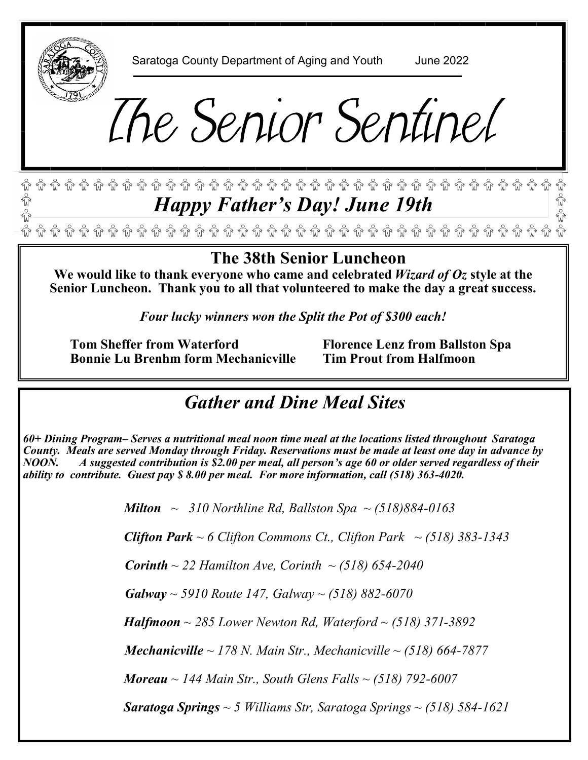

Saratoga County Department of Aging and Youth June 2022

# The Senior Sentinel

#### $\widehat{\mathbb{G}}$  .  $\widehat{\mathbb{G}}$  .  $\widehat{\mathbb{G}}$  .  $\widehat{\mathbb{G}}$  .  $\widehat{\mathbb{G}}$  .  $\widehat{\mathbb{G}}$  .  $\widehat{\mathbb{G}}$  .  $\widehat{\mathbb{G}}$  .  $\widehat{\mathbb{G}}$  .  $\widehat{\mathbb{G}}$  .  $\widehat{\mathbb{G}}$  .  $\widehat{\mathbb{G}}$  .  $\widehat{\mathbb{G}}$  .  $\widehat{\mathbb{G}}$  .  $\widehat{\mathbb{G}}$  .  $\widehat{\mathbb{G}}$ *Happy Father's Day! June 19th*

## **The 38th Senior Luncheon**

**We would like to thank everyone who came and celebrated** *Wizard of Oz* **style at the Senior Luncheon. Thank you to all that volunteered to make the day a great success.** 

*Four lucky winners won the Split the Pot of \$300 each!*

 **Tom Sheffer from Waterford Florence Lenz from Ballston Spa Bonnie Lu Brenhm form Mechanicville Tim Prout from Halfmoon** 

## *Gather and Dine Meal Sites*

*60+ Dining Program– Serves a nutritional meal noon time meal at the locations listed throughout Saratoga County. Meals are served Monday through Friday. Reservations must be made at least one day in advance by NOON. A suggested contribution is \$2.00 per meal, all person's age 60 or older served regardless of their ability to contribute. Guest pay \$ 8.00 per meal. For more information, call (518) 363-4020.* 

 *Milton ~ 310 Northline Rd, Ballston Spa ~ (518)884-0163* 

*Clifton Park ~ 6 Clifton Commons Ct., Clifton Park ~ (518) 383-1343* 

 *Corinth ~ 22 Hamilton Ave, Corinth ~ (518) 654-2040* 

 *Galway ~ 5910 Route 147, Galway ~ (518) 882-6070*

 *Halfmoon ~ 285 Lower Newton Rd, Waterford ~ (518) 371-3892*

 *Mechanicville ~ 178 N. Main Str., Mechanicville ~ (518) 664-7877*

 *Moreau ~ 144 Main Str., South Glens Falls ~ (518) 792-6007*

 *Saratoga Springs ~ 5 Williams Str, Saratoga Springs ~ (518) 584-1621*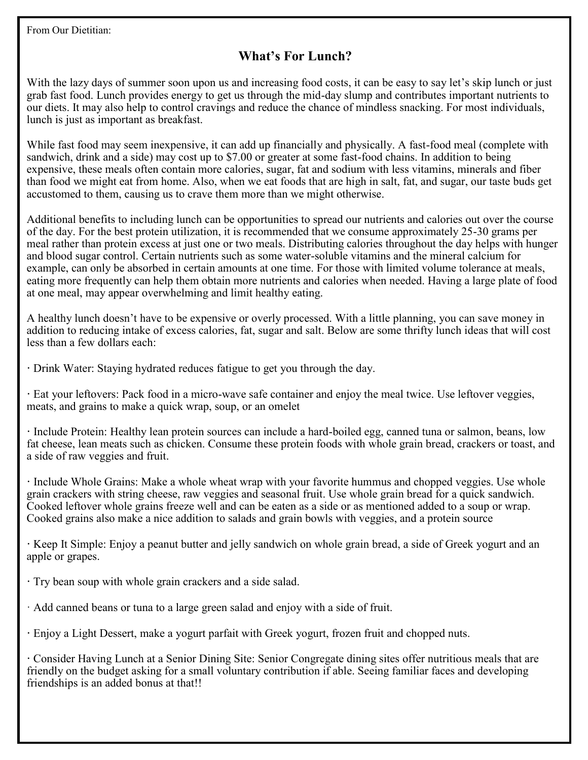From Our Dietitian:

#### **What's For Lunch?**

With the lazy days of summer soon upon us and increasing food costs, it can be easy to say let's skip lunch or just grab fast food. Lunch provides energy to get us through the mid-day slump and contributes important nutrients to our diets. It may also help to control cravings and reduce the chance of mindless snacking. For most individuals, lunch is just as important as breakfast.

While fast food may seem inexpensive, it can add up financially and physically. A fast-food meal (complete with sandwich, drink and a side) may cost up to \$7.00 or greater at some fast-food chains. In addition to being expensive, these meals often contain more calories, sugar, fat and sodium with less vitamins, minerals and fiber than food we might eat from home. Also, when we eat foods that are high in salt, fat, and sugar, our taste buds get accustomed to them, causing us to crave them more than we might otherwise.

Additional benefits to including lunch can be opportunities to spread our nutrients and calories out over the course of the day. For the best protein utilization, it is recommended that we consume approximately 25-30 grams per meal rather than protein excess at just one or two meals. Distributing calories throughout the day helps with hunger and blood sugar control. Certain nutrients such as some water-soluble vitamins and the mineral calcium for example, can only be absorbed in certain amounts at one time. For those with limited volume tolerance at meals, eating more frequently can help them obtain more nutrients and calories when needed. Having a large plate of food at one meal, may appear overwhelming and limit healthy eating.

A healthy lunch doesn't have to be expensive or overly processed. With a little planning, you can save money in addition to reducing intake of excess calories, fat, sugar and salt. Below are some thrifty lunch ideas that will cost less than a few dollars each:

**·** Drink Water: Staying hydrated reduces fatigue to get you through the day.

**·** Eat your leftovers: Pack food in a micro-wave safe container and enjoy the meal twice. Use leftover veggies, meats, and grains to make a quick wrap, soup, or an omelet

**·** Include Protein: Healthy lean protein sources can include a hard-boiled egg, canned tuna or salmon, beans, low fat cheese, lean meats such as chicken. Consume these protein foods with whole grain bread, crackers or toast, and a side of raw veggies and fruit.

**·** Include Whole Grains: Make a whole wheat wrap with your favorite hummus and chopped veggies. Use whole grain crackers with string cheese, raw veggies and seasonal fruit. Use whole grain bread for a quick sandwich. Cooked leftover whole grains freeze well and can be eaten as a side or as mentioned added to a soup or wrap. Cooked grains also make a nice addition to salads and grain bowls with veggies, and a protein source

**·** Keep It Simple: Enjoy a peanut butter and jelly sandwich on whole grain bread, a side of Greek yogurt and an apple or grapes.

- **·** Try bean soup with whole grain crackers and a side salad.
- · Add canned beans or tuna to a large green salad and enjoy with a side of fruit.
- **·** Enjoy a Light Dessert, make a yogurt parfait with Greek yogurt, frozen fruit and chopped nuts.

**·** Consider Having Lunch at a Senior Dining Site: Senior Congregate dining sites offer nutritious meals that are friendly on the budget asking for a small voluntary contribution if able. Seeing familiar faces and developing friendships is an added bonus at that!!